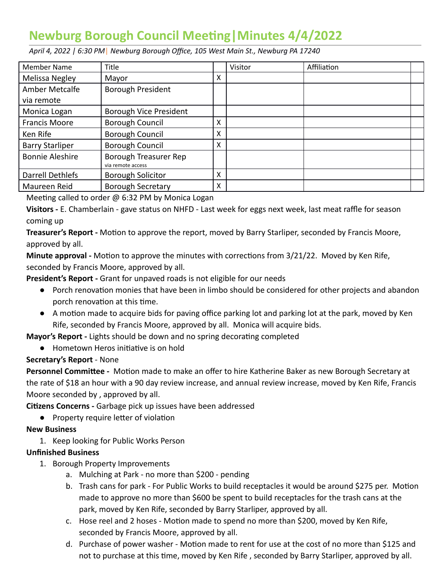## **Newburg Borough Council Meeng|Minutes 4/4/2022**

Member Name Title The South Affiliation Communist Latin Affiliation Melissa Negley | Mayor X X Amber Metcalfe via remote Borough President Monica Logan | Borough Vice President Francis Moore | Borough Council | X Ken Rife  $\vert$  Borough Council  $\vert$  X Barry Starliper Borough Council X Bonnie Aleshire | Borough Treasurer Rep via remote access Darrell Dethlefs | Borough Solicitor | X Maureen Reid Borough Secretary X

 *April 4, 2022 | 6:30 PM* | *Newburg Borough Office, 105 West Main St., Newburg PA 17240* 

Meeting called to order  $\omega$  6:32 PM by Monica Logan

 **Visitors -** E. Chamberlain - gave status on NHFD - Last week for eggs next week, last meat raffle for season coming up

**Treasurer's Report** - Motion to approve the report, moved by Barry Starliper, seconded by Francis Moore, approved by all.

**Minute approval -** Motion to approve the minutes with corrections from 3/21/22. Moved by Ken Rife, seconded by Francis Moore, approved by all.

 **President's Report -** Grant for unpaved roads is not eligible for our needs

- Porch renovation monies that have been in limbo should be considered for other projects and abandon porch renovation at this time.
- A motion made to acquire bids for paving office parking lot and parking lot at the park, moved by Ken Rife, seconded by Francis Moore, approved by all. Monica will acquire bids.
- **Mayor's Report Lights should be down and no spring decorating completed** 
	- Hometown Heros initiative is on hold

## **Secretary's Report** - None

**Personnel Committee -** Motion made to make an offer to hire Katherine Baker as new Borough Secretary at the rate of \$18 an hour with a 90 day review increase, and annual review increase, moved by Ken Rife, Francis Moore seconded by , approved by all.

**Citizens Concerns -** Garbage pick up issues have been addressed

• Property require letter of violation

## **New Business**

1. Keep looking for Public Works Person

## **Unfinished Business**

- 1. Borough Property Improvements
	- a. Mulching at Park no more than \$200 pending
	- b. Trash cans for park For Public Works to build receptacles it would be around \$275 per. Motion made to approve no more than \$600 be spent to build receptacles for the trash cans at the park, moved by Ken Rife, seconded by Barry Starliper, approved by all.
	- c. Hose reel and 2 hoses Motion made to spend no more than \$200, moved by Ken Rife, seconded by Francis Moore, approved by all.
	- d. Purchase of power washer Motion made to rent for use at the cost of no more than \$125 and not to purchase at this time, moved by Ken Rife, seconded by Barry Starliper, approved by all.